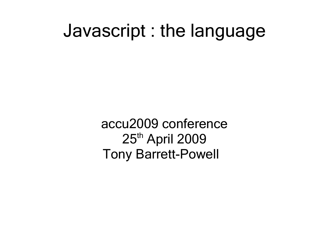#### Javascript : the language

accu2009 conference 25<sup>th</sup> April 2009 Tony Barrett-Powell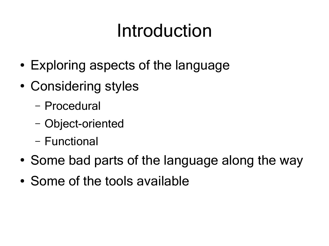## Introduction

- Exploring aspects of the language
- Considering styles
	- Procedural
	- Object-oriented
	- Functional
- Some bad parts of the language along the way
- Some of the tools available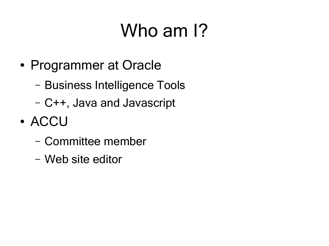# Who am 1?

- Programmer at Oracle
	- Business Intelligence Tools
	- C++, Java and Javascript
- ACCU
	- Committee member
	- Web site editor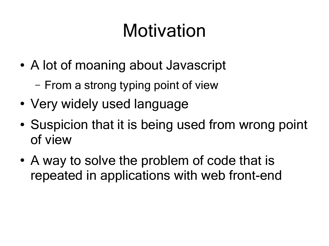## Motivation

- A lot of moaning about Javascript
	- From a strong typing point of view
- Very widely used language
- Suspicion that it is being used from wrong point of view
- A way to solve the problem of code that is repeated in applications with web front-end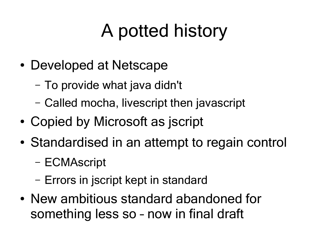# A potted history

- Developed at Netscape
	- To provide what java didn't
	- Called mocha, livescript then javascript
- Copied by Microsoft as jscript
- Standardised in an attempt to regain control
	- ECMAscript
	- Errors in jscript kept in standard
- New ambitious standard abandoned for something less so – now in final draft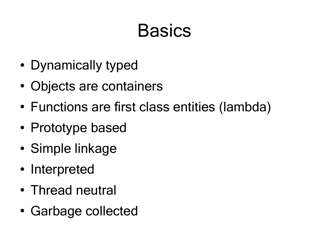## **Basics**

- Dynamically typed
- Objects are containers
- Functions are first class entities (lambda)
- Prototype based
- Simple linkage
- Interpreted
- Thread neutral
- Garbage collected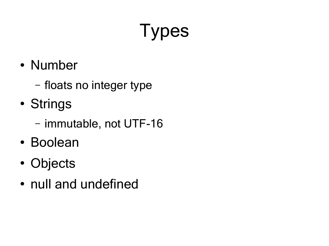# Types

- Number
	- floats no integer type
- Strings
	- immutable, not UTF-16
- Boolean
- Objects
- null and undefined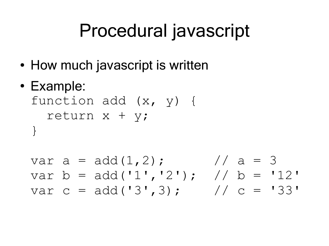## Procedural javascript

- How much javascript is written
- Example:

function add (x, y) { return x + y; }

var a =  $add(1,2)$ ; // a = 3 var  $b = add('1', '2'); // b = '12'$ var c = add('3',3); // c = '33'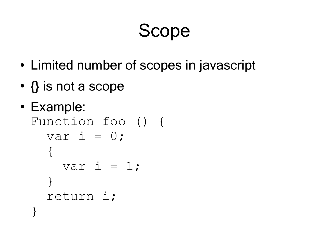#### Scope

- Limited number of scopes in javascript
- $\bullet$   $\{\}$  is not a scope
- Example: Function foo () { var i =  $0$ ;  $\{$ var i =  $1;$  } return i; }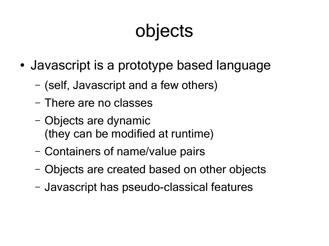## objects

- Javascript is a prototype based language
	- (self, Javascript and a few others)
	- There are no classes
	- Objects are dynamic (they can be modified at runtime)
	- Containers of name/value pairs
	- Objects are created based on other objects
	- Javascript has pseudo-classical features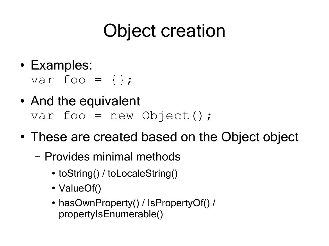## Object creation

- Examples:
	- var foo =  $\{\}$ ;
- And the equivalent var foo = new Object();
- These are created based on the Object object
	- Provides minimal methods
		- toString() / toLocaleString()
		- ValueOf()
		- hasOwnProperty() / IsPropertyOf() / propertyIsEnumerable()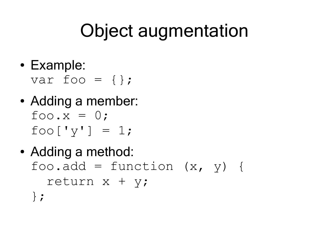## Object augmentation

• Example:

var foo =  $\{\}$ ;

- Adding a member:  $foo.x = 0;$  $foo['y'] = 1;$
- Adding a method: foo.add = function  $(x, y)$  { return x + y; };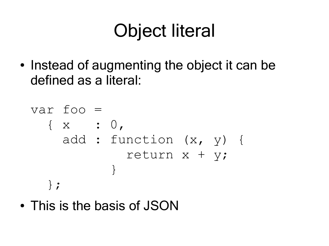## Object literal

• Instead of augmenting the object it can be defined as a literal:

```
var foo = 
   { x : 0,
     add : function (x, y) {
             return x + y;
 }
   };
```
• This is the basis of JSON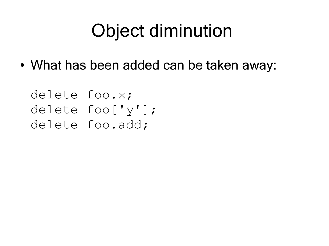## Object diminution

• What has been added can be taken away:

delete foo.x; delete foo['y']; delete foo.add;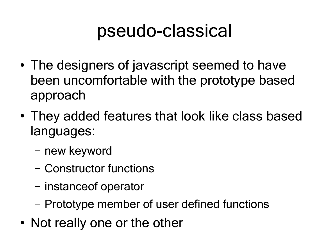#### pseudo-classical

- The designers of javascript seemed to have been uncomfortable with the prototype based approach
- They added features that look like class based languages:
	- new keyword
	- Constructor functions
	- instanceof operator
	- Prototype member of user defined functions
- Not really one or the other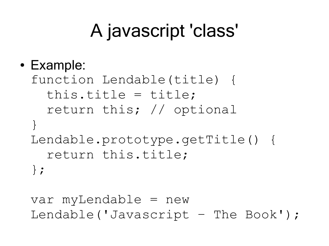## A javascript 'class'

#### ● Example:

function Lendable(title) { this.title = title; return this; // optional } Lendable.prototype.getTitle() { return this.title; };

var myLendable = new Lendable('Javascript – The Book');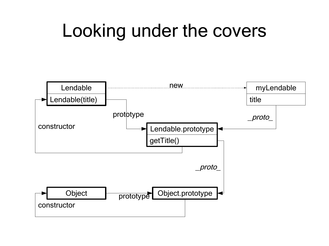#### Looking under the covers

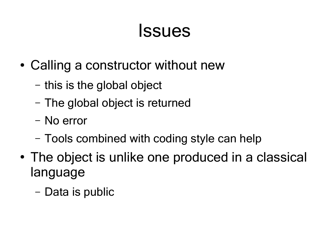#### Issues

- Calling a constructor without new
	- this is the global object
	- The global object is returned
	- No error
	- Tools combined with coding style can help
- The object is unlike one produced in a classical language
	- Data is public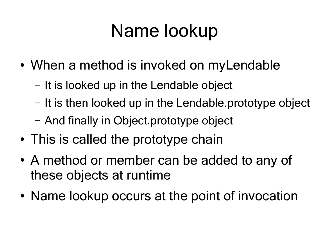## Name lookup

- When a method is invoked on myLendable
	- It is looked up in the Lendable object
	- It is then looked up in the Lendable.prototype object
	- And finally in Object.prototype object
- This is called the prototype chain
- A method or member can be added to any of these objects at runtime
- Name lookup occurs at the point of invocation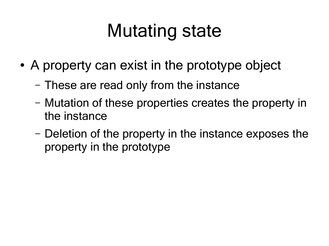## Mutating state

- A property can exist in the prototype object
	- These are read only from the instance
	- Mutation of these properties creates the property in the instance
	- Deletion of the property in the instance exposes the property in the prototype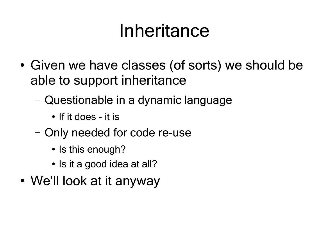#### Inheritance

- Given we have classes (of sorts) we should be able to support inheritance
	- Questionable in a dynamic language
		- If it does it is
	- Only needed for code re-use
		- Is this enough?
		- Is it a good idea at all?
- We'll look at it anyway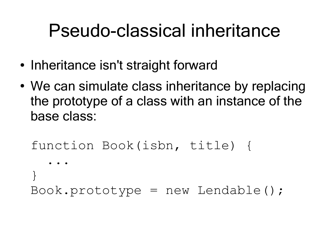- Inheritance isn't straight forward
- We can simulate class inheritance by replacing the prototype of a class with an instance of the base class:

```
function Book(isbn, title) {
 ...
}
```
 $Book.prototype = new Lendable()$ ;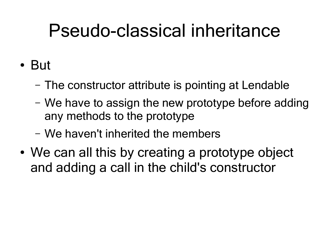#### ● But

- The constructor attribute is pointing at Lendable
- We have to assign the new prototype before adding any methods to the prototype
- We haven't inherited the members
- We can all this by creating a prototype object and adding a call in the child's constructor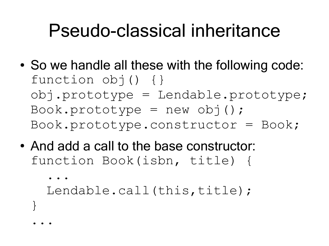- So we handle all these with the following code: function obj() {} obj.prototype = Lendable.prototype;  $Book.prototype = new obj()$ ;  $Book.prototype.constantvector = Book;$
- And add a call to the base constructor: function Book(isbn, title) {

```
 ...
  Lendable.call(this,title);
...
```
}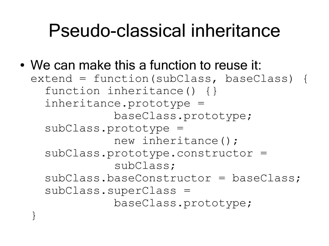• We can make this a function to reuse it: extend = function(subClass, baseClass) { function inheritance() {} inheritance.prototype = baseClass.prototype; subClass.prototype = new inheritance(); subClass.prototype.constructor = subClass; subClass.baseConstructor = baseClass; subClass.superClass = baseClass.prototype; }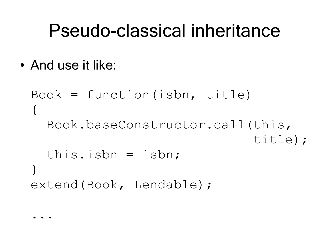• And use it like:

```
Book = function(isbn, title)\{ Book.baseConstructor.call(this, 
                               title);
   this.isbn = isbn;
}
extend(Book, Lendable);
```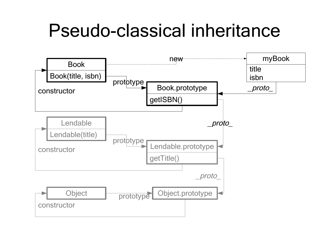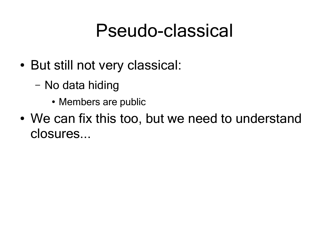#### Pseudo-classical

- But still not very classical:
	- No data hiding
		- Members are public
- We can fix this too, but we need to understand closures...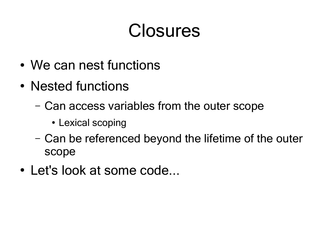- We can nest functions
- Nested functions
	- Can access variables from the outer scope
		- Lexical scoping
	- Can be referenced beyond the lifetime of the outer scope
- Let's look at some code...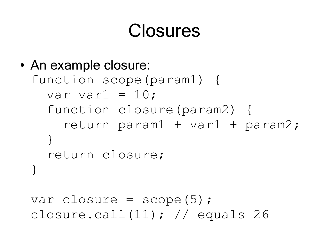• An example closure: function scope(param1) { var var $1 = 10$ ; function closure(param2) { return param1 + var1 + param2; } return closure; }

var closure =  $score(5)$ ; closure.call(11); // equals 26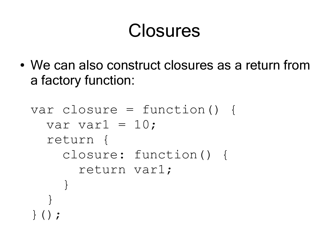• We can also construct closures as a return from a factory function:

```
var closure = function() {
  var var1 = 10;
   return {
     closure: function() {
       return var1; 
 }
 }
}();
```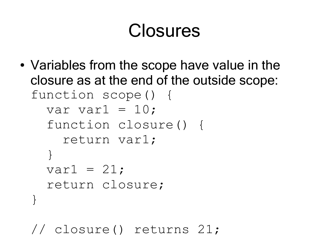• Variables from the scope have value in the closure as at the end of the outside scope: function scope() { var var $1 = 10$ ; function closure() { return var1; } var $1 = 21$ ; return closure; }

// closure() returns 21;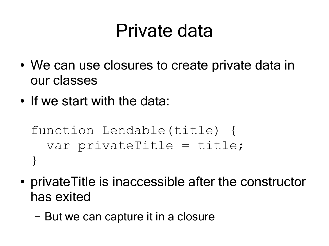#### Private data

- We can use closures to create private data in our classes
- If we start with the data:

function Lendable(title) { var privateTitle = title; }

- private Title is inaccessible after the constructor has exited
	- But we can capture it in a closure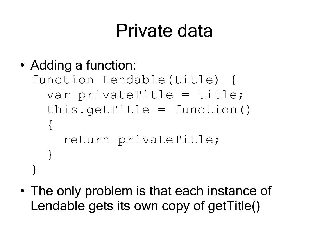#### Private data

```
• Adding a function:
 function Lendable(title) {
    var privateTitle = title;
   this.getTitle = function()\{ return privateTitle;
  } 
 }
```
• The only problem is that each instance of Lendable gets its own copy of getTitle()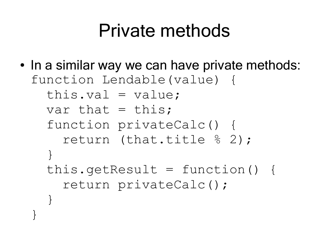#### Private methods

• In a similar way we can have private methods: function Lendable(value) { this.val =  $value$ ; var that  $=$  this; function privateCalc() { return (that.title % 2); } this.getResult = function() { return privateCalc(); } }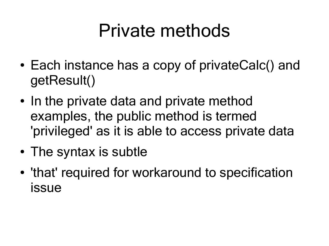#### Private methods

- Each instance has a copy of privateCalc() and getResult()
- In the private data and private method examples, the public method is termed 'privileged' as it is able to access private data
- The syntax is subtle
- 'that' required for workaround to specification issue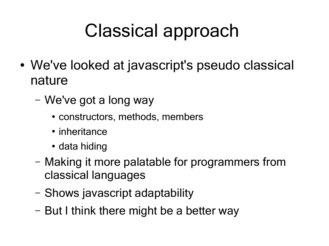## Classical approach

- We've looked at javascript's pseudo classical nature
	- We've got a long way
		- constructors, methods, members
		- inheritance
		- data hiding
	- Making it more palatable for programmers from classical languages
	- Shows javascript adaptability
	- But I think there might be a better way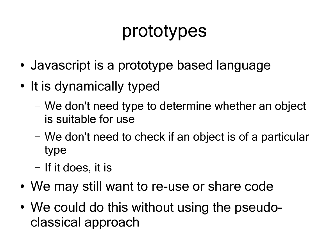#### prototypes

- Javascript is a prototype based language
- It is dynamically typed
	- We don't need type to determine whether an object is suitable for use
	- We don't need to check if an object is of a particular type
	- If it does, it is
- We may still want to re-use or share code
- We could do this without using the pseudoclassical approach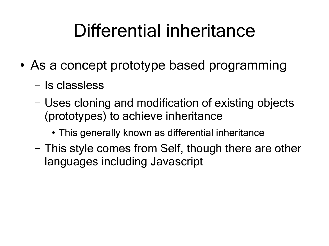## Differential inheritance

- As a concept prototype based programming
	- Is classless
	- Uses cloning and modification of existing objects (prototypes) to achieve inheritance
		- This generally known as differential inheritance
	- This style comes from Self, though there are other languages including Javascript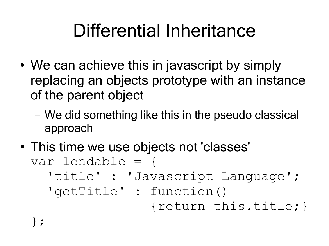## Differential Inheritance

- We can achieve this in javascript by simply replacing an objects prototype with an instance of the parent object
	- We did something like this in the pseudo classical approach
- This time we use objects not 'classes' var lendable = { 'title' : 'Javascript Language'; 'getTitle' : function()

{return this.title;}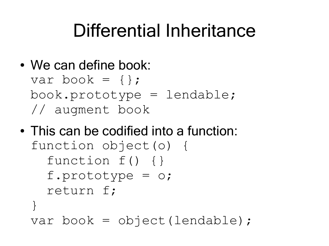#### Differential Inheritance

• We can define book:

var book =  $\{\}$ ; book.prototype = lendable; // augment book

• This can be codified into a function: function object(o) { function f() {} f.prototype = o; return f; } var book = object(lendable);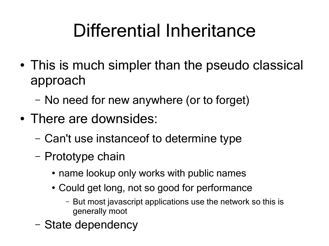## Differential Inheritance

- This is much simpler than the pseudo classical approach
	- No need for new anywhere (or to forget)
- There are downsides:
	- Can't use instanceof to determine type
	- Prototype chain
		- name lookup only works with public names
		- Could get long, not so good for performance
			- But most javascript applications use the network so this is generally moot
	- State dependency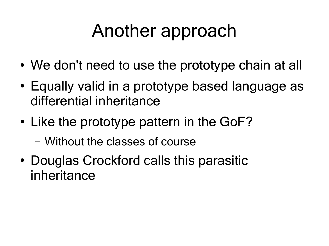### Another approach

- We don't need to use the prototype chain at all
- Equally valid in a prototype based language as differential inheritance
- Like the prototype pattern in the GoF?
	- Without the classes of course
- Douglas Crockford calls this parasitic inheritance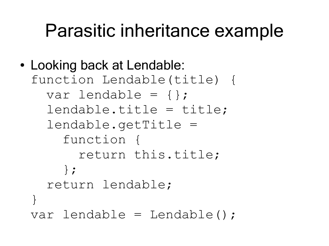#### Parasitic inheritance example

```
• Looking back at Lendable:
 function Lendable(title) {
    var lendable = {};
    lendable.title = title;
    lendable.getTitle =
       function {
         return this.title;
       };
    return lendable;
 }
 var lendable = Lendable();
```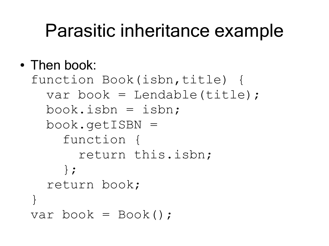#### Parasitic inheritance example

#### • Then book:

```
function Book(isbn,title) {
   var book = Lendable(title);
  book.isbn = isbn; book.getISBN =
     function {
       return this.isbn;
     };
   return book;
}
var book = Book();
```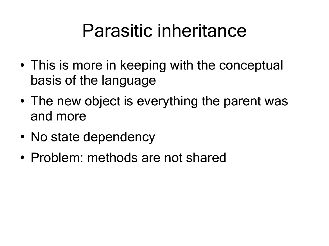#### Parasitic inheritance

- This is more in keeping with the conceptual basis of the language
- The new object is everything the parent was and more
- No state dependency
- Problem: methods are not shared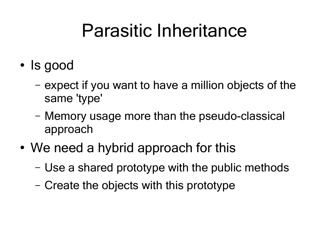#### Parasitic Inheritance

- Is good
	- expect if you want to have a million objects of the same 'type'
	- Memory usage more than the pseudo-classical approach
- We need a hybrid approach for this
	- Use a shared prototype with the public methods
	- Create the objects with this prototype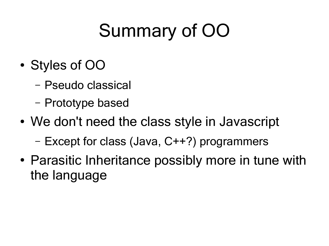# Summary of OO

- Styles of OO
	- Pseudo classical
	- Prototype based
- We don't need the class style in Javascript
	- Except for class (Java, C++?) programmers
- Parasitic Inheritance possibly more in tune with the language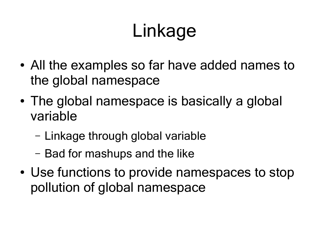# Linkage

- All the examples so far have added names to the global namespace
- The global namespace is basically a global variable
	- Linkage through global variable
	- Bad for mashups and the like
- Use functions to provide namespaces to stop pollution of global namespace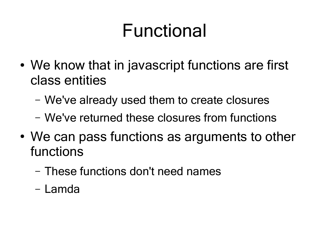- We know that in javascript functions are first class entities
	- We've already used them to create closures
	- We've returned these closures from functions
- We can pass functions as arguments to other functions
	- These functions don't need names
	- Lamda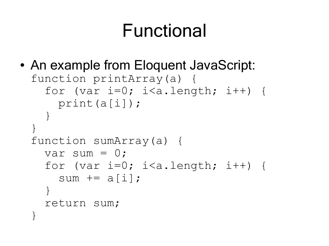```
• An example from Eloquent JavaScript:
 function printArray(a) {
    for (var i=0; i< a.length; i++) {
       print(a[i]);
  }
 }
 function sumArray(a) {
     var sum = 0;
    for (var i=0; i< a.length; i++) {
      sum += a[i];
     }
     return sum;
  }
```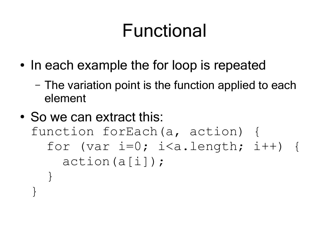- In each example the for loop is repeated
	- The variation point is the function applied to each element
- So we can extract this: function forEach(a, action) { for (var  $i=0$ ;  $i< a$ .length;  $i++$ ) { action(a[i]); } }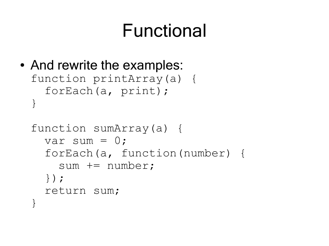```
• And rewrite the examples:
 function printArray(a) {
     forEach(a, print);
 }
 function sumArray(a) {
```

```
var sum = 0;
   forEach(a, function(number) {
     sum += number;
   });
  return sum;
}
```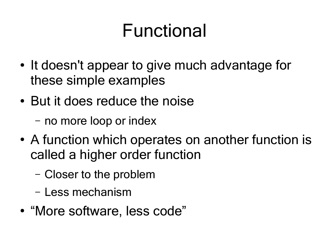- It doesn't appear to give much advantage for these simple examples
- But it does reduce the noise
	- no more loop or index
- A function which operates on another function is called a higher order function
	- Closer to the problem
	- Less mechanism
- "More software, less code"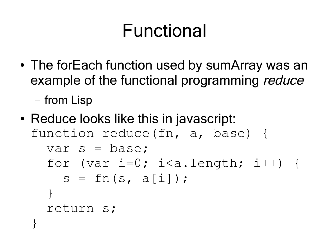- The forEach function used by sumArray was an example of the functional programming reduce
	- from Lisp
- Reduce looks like this in javascript: function reduce(fn, a, base) { var s = base; for (var  $i=0$ ;  $i< a$ .length;  $i++$ ) {  $s = fn(s, a[i]);$  } return s; }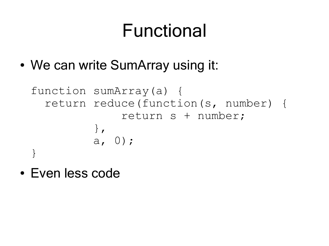• We can write SumArray using it:

```
function sumArray(a) {
   return reduce(function(s, number) {
               return s + number;
           },
          a, 0);
}
```
• Even less code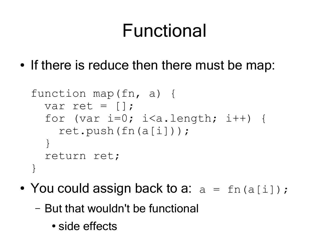• If there is reduce then there must be map:

```
function map(fn, a) {
  var ret = \lceil \cdot \rceil;
  for (var i=0; i< a.length; i++) {
      ret.push(fn(a[i]));
   }
   return ret;
}
```
- You could assign back to a:  $a = \text{fn}(a[i])$ ;
	- But that wouldn't be functional
		- side effects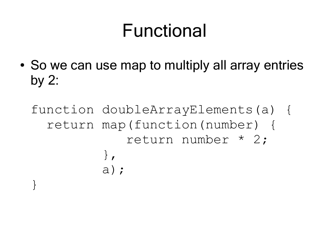- So we can use map to multiply all array entries by 2:
	- function doubleArrayElements(a) { return map(function(number) { return number \* 2; }, a); }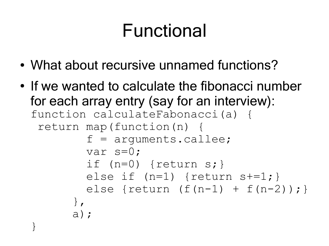- What about recursive unnamed functions?
- If we wanted to calculate the fibonacci number for each array entry (say for an interview): function calculateFabonacci(a) { return map(function(n) {  $f = arguments.callee;$  var s=0; if  $(n=0)$  {return s;} else if  $(n=1)$  {return  $s+=1;$  } else {return  $(f(n-1) + f(n-2))$  ; } }, a); }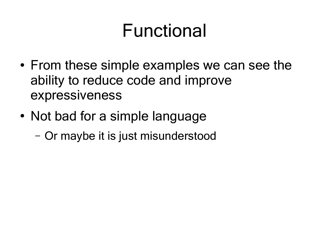- From these simple examples we can see the ability to reduce code and improve expressiveness
- Not bad for a simple language
	- Or maybe it is just misunderstood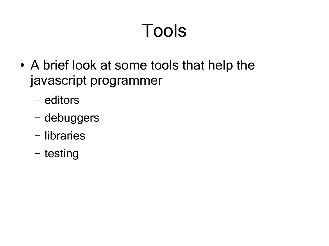# Tools

- A brief look at some tools that help the javascript programmer
	- editors
	- debuggers
	- libraries
	- testing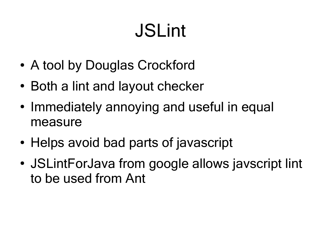# JSLint

- A tool by Douglas Crockford
- Both a lint and layout checker
- Immediately annoying and useful in equal measure
- Helps avoid bad parts of javascript
- JSLintForJava from google allows javscript lint to be used from Ant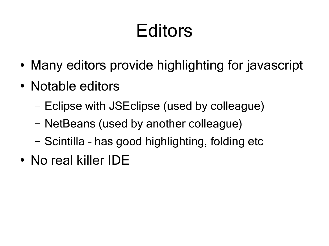## Editors

- Many editors provide highlighting for javascript
- Notable editors
	- Eclipse with JSEclipse (used by colleague)
	- NetBeans (used by another colleague)
	- Scintilla has good highlighting, folding etc
- No real killer IDF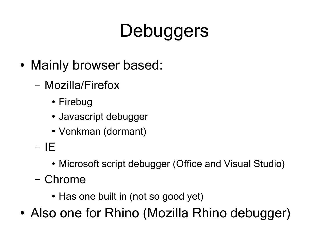# **Debuggers**

- Mainly browser based:
	- Mozilla/Firefox
		- Firebug
		- Javascript debugger
		- Venkman (dormant)
	- IE
		- Microsoft script debugger (Office and Visual Studio)
	- Chrome
		- Has one built in (not so good yet)
- Also one for Rhino (Mozilla Rhino debugger)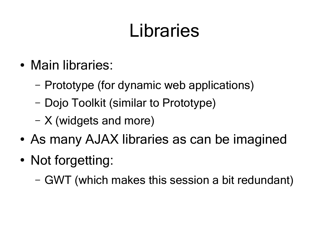## Libraries

- Main libraries:
	- Prototype (for dynamic web applications)
	- Dojo Toolkit (similar to Prototype)
	- X (widgets and more)
- As many AJAX libraries as can be imagined
- Not forgetting:
	- GWT (which makes this session a bit redundant)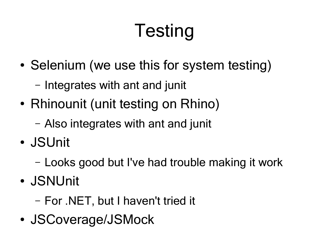# Testing

- Selenium (we use this for system testing)
	- Integrates with ant and junit
- Rhinounit (unit testing on Rhino)
	- Also integrates with ant and junit
- JSUnit
	- Looks good but I've had trouble making it work
- JSNUnit

– For .NET, but I haven't tried it

• JSCoverage/JSMock